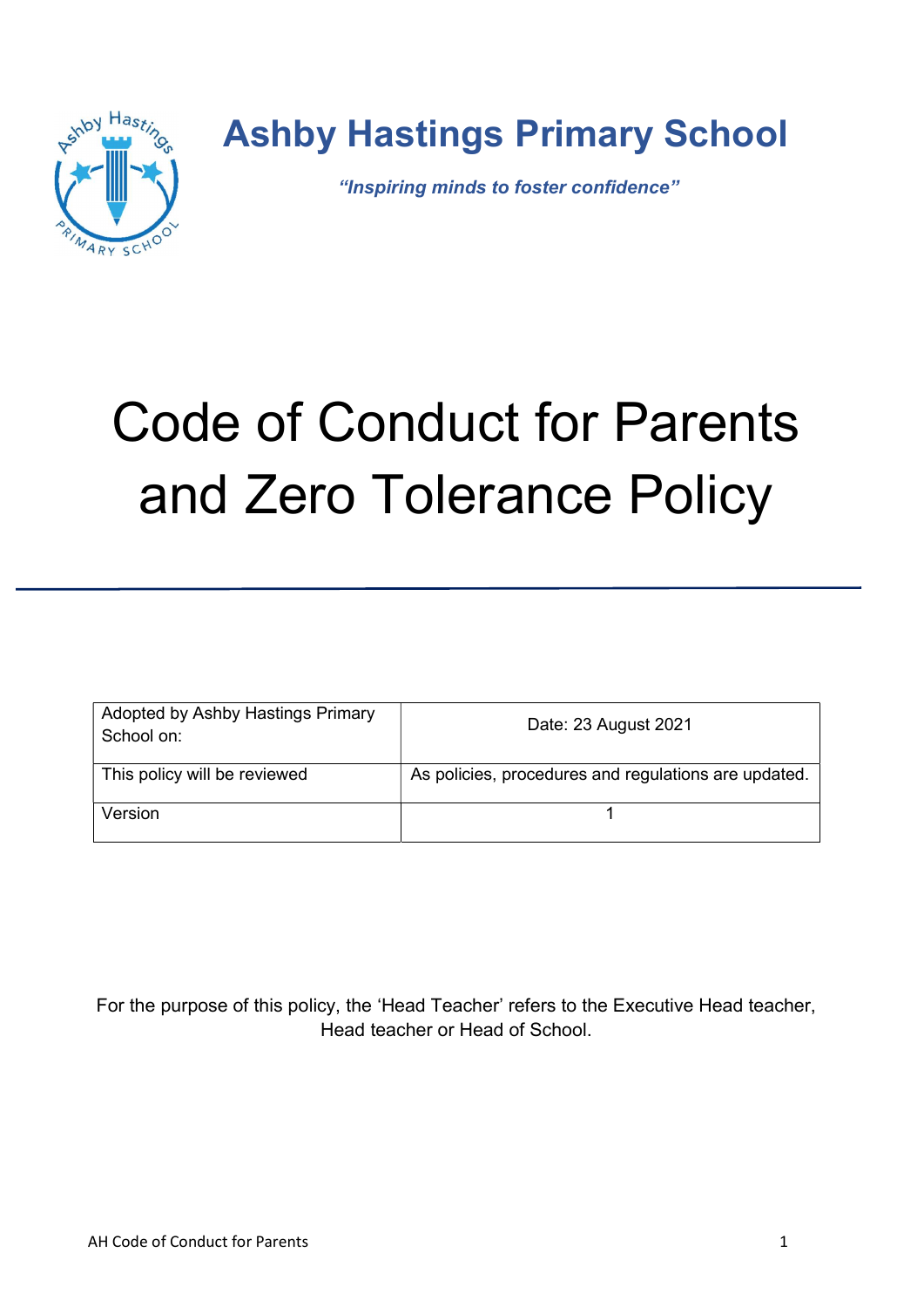

### Ashby Hastings Primary School

"Inspiring minds to foster confidence"

# Code of Conduct for Parents and Zero Tolerance Policy

| Adopted by Ashby Hastings Primary<br>School on: | Date: 23 August 2021                                 |
|-------------------------------------------------|------------------------------------------------------|
| This policy will be reviewed                    | As policies, procedures and regulations are updated. |
| Version                                         |                                                      |

For the purpose of this policy, the 'Head Teacher' refers to the Executive Head teacher, Head teacher or Head of School.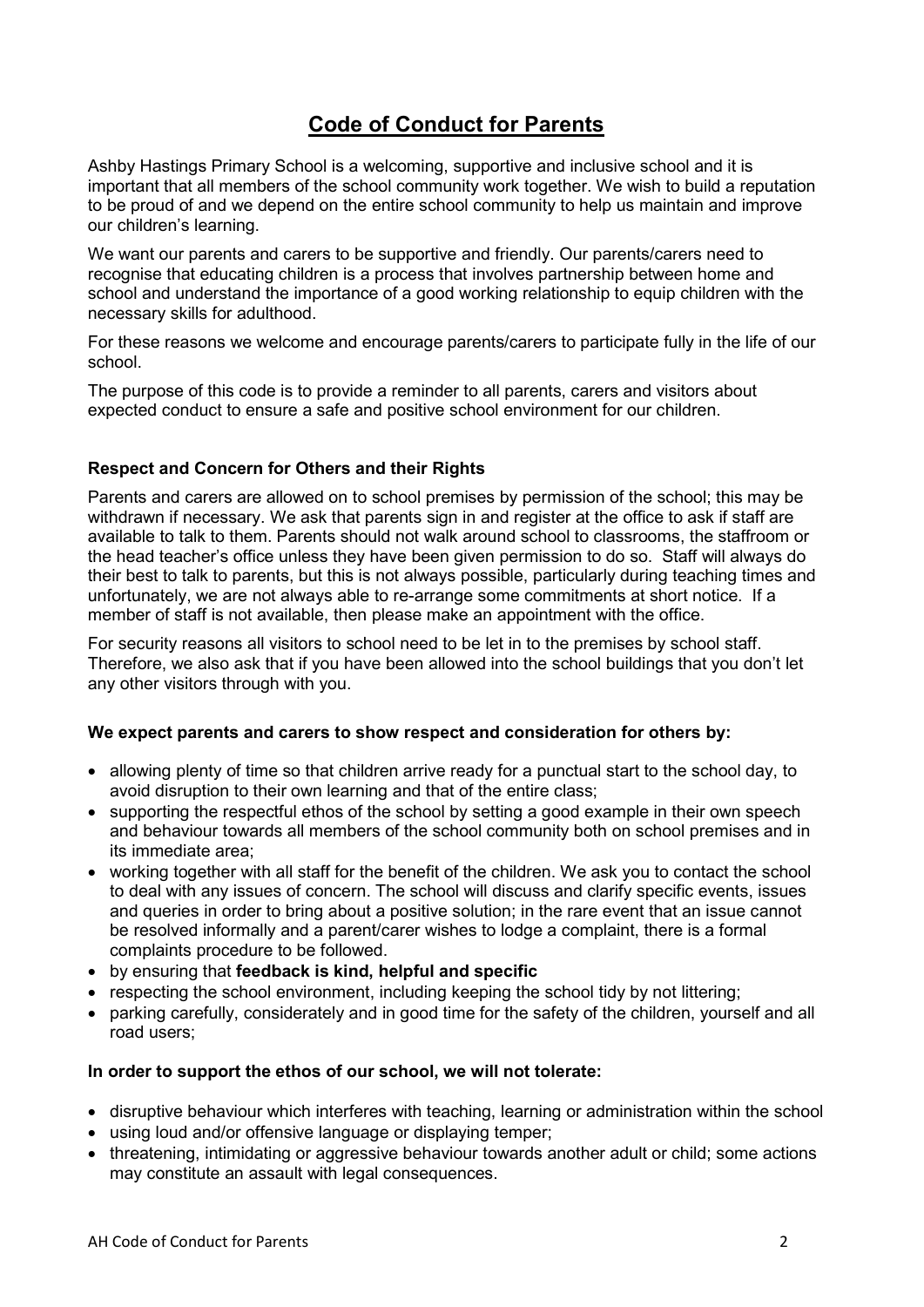#### Code of Conduct for Parents

Ashby Hastings Primary School is a welcoming, supportive and inclusive school and it is important that all members of the school community work together. We wish to build a reputation to be proud of and we depend on the entire school community to help us maintain and improve our children's learning.

We want our parents and carers to be supportive and friendly. Our parents/carers need to recognise that educating children is a process that involves partnership between home and school and understand the importance of a good working relationship to equip children with the necessary skills for adulthood.

For these reasons we welcome and encourage parents/carers to participate fully in the life of our school.

The purpose of this code is to provide a reminder to all parents, carers and visitors about expected conduct to ensure a safe and positive school environment for our children.

#### Respect and Concern for Others and their Rights

Parents and carers are allowed on to school premises by permission of the school; this may be withdrawn if necessary. We ask that parents sign in and register at the office to ask if staff are available to talk to them. Parents should not walk around school to classrooms, the staffroom or the head teacher's office unless they have been given permission to do so. Staff will always do their best to talk to parents, but this is not always possible, particularly during teaching times and unfortunately, we are not always able to re-arrange some commitments at short notice. If a member of staff is not available, then please make an appointment with the office.

For security reasons all visitors to school need to be let in to the premises by school staff. Therefore, we also ask that if you have been allowed into the school buildings that you don't let any other visitors through with you.

#### We expect parents and carers to show respect and consideration for others by:

- allowing plenty of time so that children arrive ready for a punctual start to the school day, to avoid disruption to their own learning and that of the entire class;
- supporting the respectful ethos of the school by setting a good example in their own speech and behaviour towards all members of the school community both on school premises and in its immediate area;
- working together with all staff for the benefit of the children. We ask you to contact the school to deal with any issues of concern. The school will discuss and clarify specific events, issues and queries in order to bring about a positive solution; in the rare event that an issue cannot be resolved informally and a parent/carer wishes to lodge a complaint, there is a formal complaints procedure to be followed.
- by ensuring that feedback is kind, helpful and specific
- respecting the school environment, including keeping the school tidy by not littering;
- parking carefully, considerately and in good time for the safety of the children, yourself and all road users;

#### In order to support the ethos of our school, we will not tolerate:

- disruptive behaviour which interferes with teaching, learning or administration within the school
- using loud and/or offensive language or displaying temper;
- threatening, intimidating or aggressive behaviour towards another adult or child; some actions may constitute an assault with legal consequences.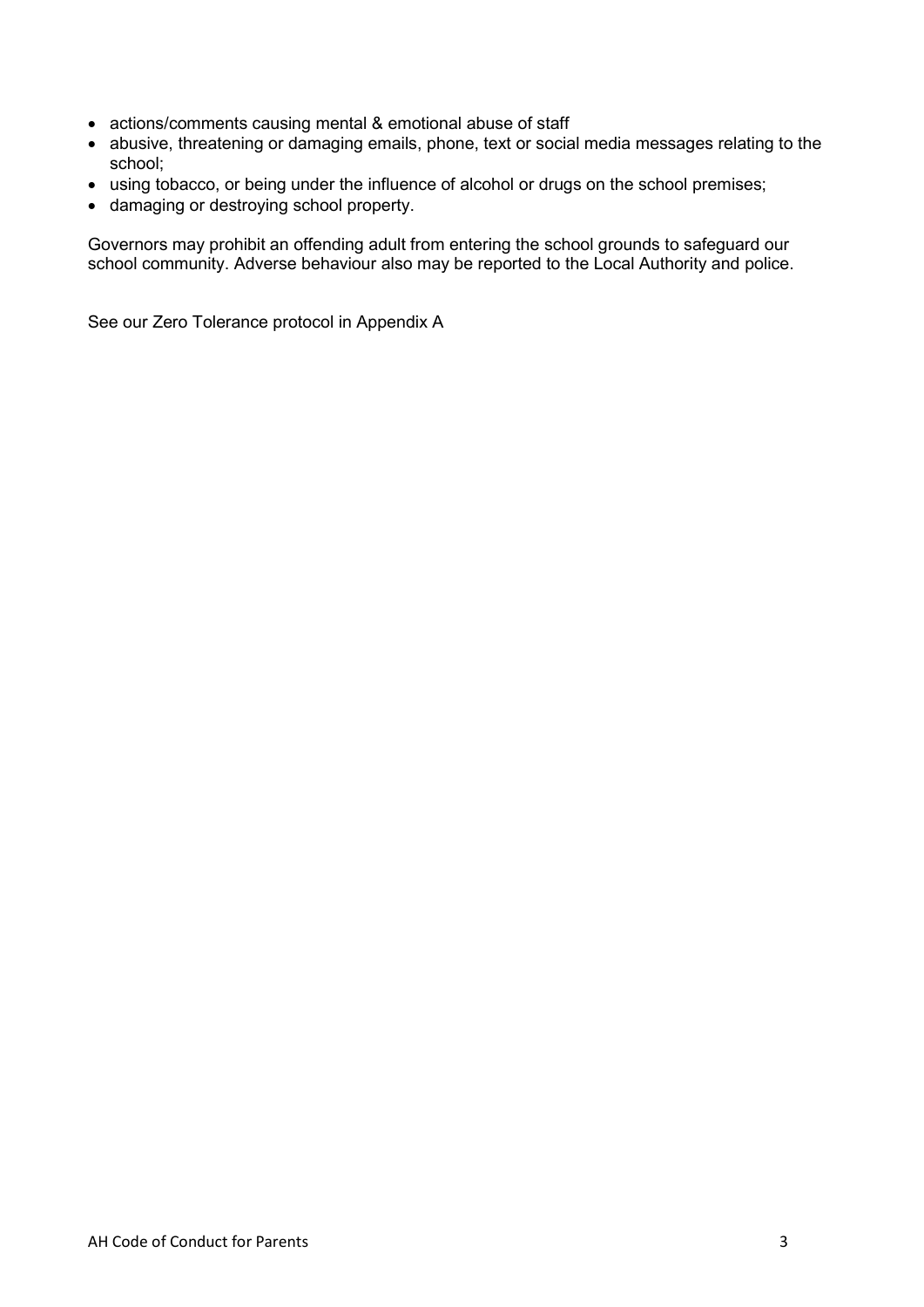- actions/comments causing mental & emotional abuse of staff
- abusive, threatening or damaging emails, phone, text or social media messages relating to the school;
- using tobacco, or being under the influence of alcohol or drugs on the school premises;
- damaging or destroying school property.

Governors may prohibit an offending adult from entering the school grounds to safeguard our school community. Adverse behaviour also may be reported to the Local Authority and police.

See our Zero Tolerance protocol in Appendix A